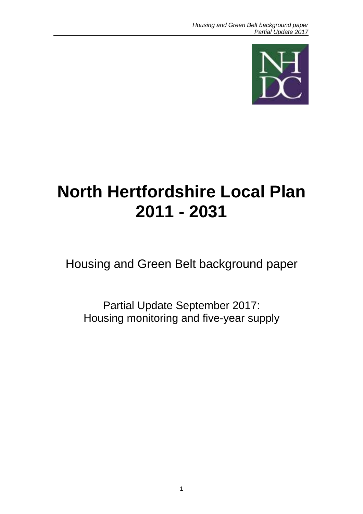

# **North Hertfordshire Local Plan 2011 - 2031**

Housing and Green Belt background paper

Partial Update September 2017: Housing monitoring and five-year supply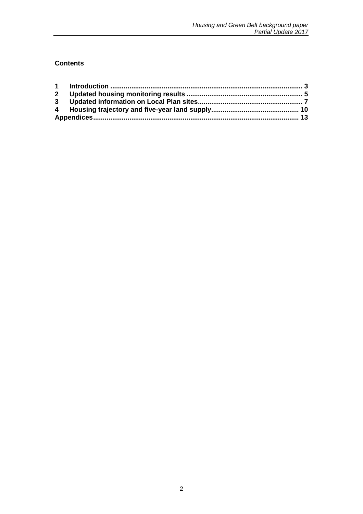### **Contents**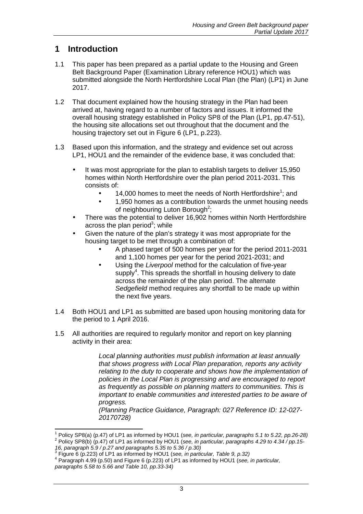# **1 Introduction**

- 1.1 This paper has been prepared as a partial update to the Housing and Green Belt Background Paper (Examination Library reference HOU1) which was submitted alongside the North Hertfordshire Local Plan (the Plan) (LP1) in June 2017.
- 1.2 That document explained how the housing strategy in the Plan had been arrived at, having regard to a number of factors and issues. It informed the overall housing strategy established in Policy SP8 of the Plan (LP1, pp.47-51), the housing site allocations set out throughout that the document and the housing trajectory set out in Figure 6 (LP1, p.223).
- 1.3 Based upon this information, and the strategy and evidence set out across LP1, HOU1 and the remainder of the evidence base, it was concluded that:
	- It was most appropriate for the plan to establish targets to deliver 15,950 homes within North Hertfordshire over the plan period 2011-2031. This consists of:
		- $\bullet$  14,000 homes to meet the needs of North Hertfordshire<sup>1</sup>; and
		- 1,950 homes as a contribution towards the unmet housing needs of neighbouring Luton Borough<sup>2</sup>;
	- There was the potential to deliver 16,902 homes within North Hertfordshire across the plan period<sup>3</sup>; while
	- Given the nature of the plan's strategy it was most appropriate for the housing target to be met through a combination of:
		- A phased target of 500 homes per year for the period 2011-2031 and 1,100 homes per year for the period 2021-2031; and
		- Using the *Liverpool* method for the calculation of five-year supply<sup>4</sup>. This spreads the shortfall in housing delivery to date across the remainder of the plan period. The alternate Sedgefield method requires any shortfall to be made up within the next five years.
- 1.4 Both HOU1 and LP1 as submitted are based upon housing monitoring data for the period to 1 April 2016.
- 1.5 All authorities are required to regularly monitor and report on key planning activity in their area:

Local planning authorities must publish information at least annually that shows progress with Local Plan preparation, reports any activity relating to the duty to cooperate and shows how the implementation of policies in the Local Plan is progressing and are encouraged to report as frequently as possible on planning matters to communities. This is important to enable communities and interested parties to be aware of progress.

(Planning Practice Guidance, Paragraph: 027 Reference ID: 12-027- 20170728)

<sup>————————————————————&</sup>lt;br><sup>1</sup> Policy SP8(a) (p.47) of LP1 as informed by HOU1 (see, *in particular, paragraphs 5.1 to 5.22, pp.26-28)* <sup>2</sup> Policy SP8(b) (p.47) of LP1 as informed by HOU1 (see, in particular, paragraphs 4.29 to 4.34 / pp.15-

<sup>16,</sup> paragraph 5.9 / p.27 and paragraphs 5.35 to 5.36 / p.30)<br><sup>3</sup> Figure 6 (p.223) of LP1 as informed by HOU1 (see, *in particular, Table 9, p.3*2)

 $4$  Paragraph 4.99 (p.50) and Figure 6 (p.223) of LP1 as informed by HOU1 (see, in particular, paragraphs 5.58 to 5.66 and Table 10, pp.  $33-34$ )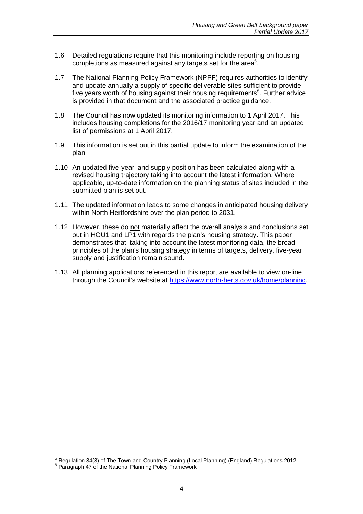- 1.6 Detailed regulations require that this monitoring include reporting on housing completions as measured against any targets set for the area $5$ .
- 1.7 The National Planning Policy Framework (NPPF) requires authorities to identify and update annually a supply of specific deliverable sites sufficient to provide five years worth of housing against their housing requirements<sup>6</sup>. Further advice is provided in that document and the associated practice guidance.
- 1.8 The Council has now updated its monitoring information to 1 April 2017. This includes housing completions for the 2016/17 monitoring year and an updated list of permissions at 1 April 2017.
- 1.9 This information is set out in this partial update to inform the examination of the plan.
- 1.10 An updated five-year land supply position has been calculated along with a revised housing trajectory taking into account the latest information. Where applicable, up-to-date information on the planning status of sites included in the submitted plan is set out.
- 1.11 The updated information leads to some changes in anticipated housing delivery within North Hertfordshire over the plan period to 2031.
- 1.12 However, these do not materially affect the overall analysis and conclusions set out in HOU1 and LP1 with regards the plan's housing strategy. This paper demonstrates that, taking into account the latest monitoring data, the broad principles of the plan's housing strategy in terms of targets, delivery, five-year supply and justification remain sound.
- 1.13 All planning applications referenced in this report are available to view on-line through the Council's website at https://www.north-herts.gov.uk/home/planning.

 5 Regulation 34(3) of The Town and Country Planning (Local Planning) (England) Regulations 2012

<sup>6</sup> Paragraph 47 of the National Planning Policy Framework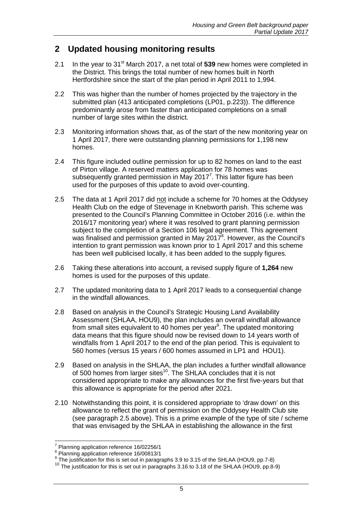# **2 Updated housing monitoring results**

- 2.1 In the year to 31st March 2017, a net total of **539** new homes were completed in the District. This brings the total number of new homes built in North Hertfordshire since the start of the plan period in April 2011 to 1,994.
- 2.2 This was higher than the number of homes projected by the trajectory in the submitted plan (413 anticipated completions (LP01, p.223)). The difference predominantly arose from faster than anticipated completions on a small number of large sites within the district.
- 2.3 Monitoring information shows that, as of the start of the new monitoring year on 1 April 2017, there were outstanding planning permissions for 1,198 new homes.
- 2.4 This figure included outline permission for up to 82 homes on land to the east of Pirton village. A reserved matters application for 78 homes was subsequently granted permission in May 2017<sup>7</sup>. This latter figure has been used for the purposes of this update to avoid over-counting.
- 2.5 The data at 1 April 2017 did not include a scheme for 70 homes at the Oddysey Health Club on the edge of Stevenage in Knebworth parish. This scheme was presented to the Council's Planning Committee in October 2016 (i.e. within the 2016/17 monitoring year) where it was resolved to grant planning permission subject to the completion of a Section 106 legal agreement. This agreement was finalised and permission granted in May 2017 $^8$ . However, as the Council's intention to grant permission was known prior to 1 April 2017 and this scheme has been well publicised locally, it has been added to the supply figures.
- 2.6 Taking these alterations into account, a revised supply figure of **1,264** new homes is used for the purposes of this update.
- 2.7 The updated monitoring data to 1 April 2017 leads to a consequential change in the windfall allowances.
- 2.8 Based on analysis in the Council's Strategic Housing Land Availability Assessment (SHLAA, HOU9), the plan includes an overall windfall allowance from small sites equivalent to 40 homes per year<sup>9</sup>. The updated monitoring data means that this figure should now be revised down to 14 years worth of windfalls from 1 April 2017 to the end of the plan period. This is equivalent to 560 homes (versus 15 years / 600 homes assumed in LP1 and HOU1).
- 2.9 Based on analysis in the SHLAA, the plan includes a further windfall allowance of 500 homes from larger sites<sup>10</sup>. The SHLAA concludes that it is not considered appropriate to make any allowances for the first five-years but that this allowance is appropriate for the period after 2021.
- 2.10 Notwithstanding this point, it is considered appropriate to 'draw down' on this allowance to reflect the grant of permission on the Oddysey Health Club site (see paragraph 2.5 above). This is a prime example of the type of site / scheme that was envisaged by the SHLAA in establishing the allowance in the first

 7 Planning application reference 16/02256/1

<sup>8</sup> Planning application reference 16/00813/1

 $9$  The justification for this is set out in paragraphs 3.9 to 3.15 of the SHLAA (HOU9, pp.7-8)

<sup>&</sup>lt;sup>10</sup> The justification for this is set out in paragraphs 3.16 to 3.18 of the SHLAA (HOU9, pp.8-9)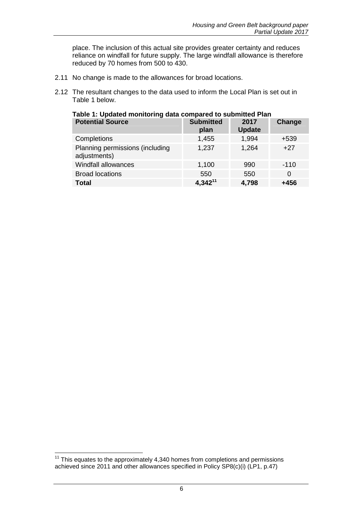place. The inclusion of this actual site provides greater certainty and reduces reliance on windfall for future supply. The large windfall allowance is therefore reduced by 70 homes from 500 to 430.

- 2.11 No change is made to the allowances for broad locations.
- 2.12 The resultant changes to the data used to inform the Local Plan is set out in Table 1 below.

| <b>Potential Source</b>                         | <b>Submitted</b><br>plan | 2017<br><b>Update</b> | Change |
|-------------------------------------------------|--------------------------|-----------------------|--------|
| Completions                                     | 1,455                    | 1,994                 | $+539$ |
| Planning permissions (including<br>adjustments) | 1,237                    | 1,264                 | $+27$  |
| <b>Windfall allowances</b>                      | 1,100                    | 990                   | $-110$ |
| <b>Broad locations</b>                          | 550                      | 550                   | 0      |
| <b>Total</b>                                    | $4,342^{11}$             | 4,798                 | $+456$ |

#### **Table 1: Updated monitoring data compared to submitted Plan**

j  $11$  This equates to the approximately 4,340 homes from completions and permissions achieved since 2011 and other allowances specified in Policy SP8(c)(i) (LP1, p.47)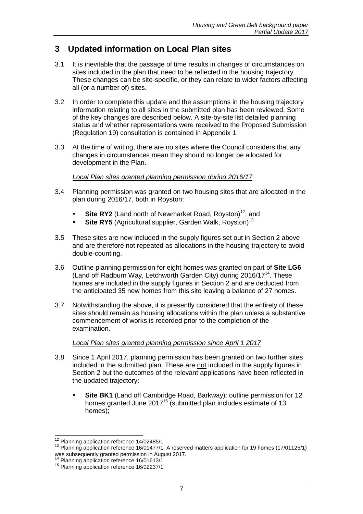# **3 Updated information on Local Plan sites**

- 3.1 It is inevitable that the passage of time results in changes of circumstances on sites included in the plan that need to be reflected in the housing trajectory. These changes can be site-specific, or they can relate to wider factors affecting all (or a number of) sites.
- 3.2 In order to complete this update and the assumptions in the housing trajectory information relating to all sites in the submitted plan has been reviewed. Some of the key changes are described below. A site-by-site list detailed planning status and whether representations were received to the Proposed Submission (Regulation 19) consultation is contained in Appendix 1.
- 3.3 At the time of writing, there are no sites where the Council considers that any changes in circumstances mean they should no longer be allocated for development in the Plan.

#### Local Plan sites granted planning permission during 2016/17

- 3.4 Planning permission was granted on two housing sites that are allocated in the plan during 2016/17, both in Royston:
	- **Site RY2** (Land north of Newmarket Road, Royston)<sup>12</sup>; and
	- **Site RY5** (Agricultural supplier, Garden Walk, Royston)<sup>13</sup>
- 3.5 These sites are now included in the supply figures set out in Section 2 above and are therefore not repeated as allocations in the housing trajectory to avoid double-counting.
- 3.6 Outline planning permission for eight homes was granted on part of **Site LG6** (Land off Radburn Way, Letchworth Garden City) during 2016/17 $^{14}$ . These homes are included in the supply figures in Section 2 and are deducted from the anticipated 35 new homes from this site leaving a balance of 27 homes.
- 3.7 Notwithstanding the above, it is presently considered that the entirety of these sites should remain as housing allocations within the plan unless a substantive commencement of works is recorded prior to the completion of the examination.

#### Local Plan sites granted planning permission since April 1 2017

- 3.8 Since 1 April 2017, planning permission has been granted on two further sites included in the submitted plan. These are not included in the supply figures in Section 2 but the outcomes of the relevant applications have been reflected in the updated trajectory:
	- **Site BK1** (Land off Cambridge Road, Barkway): outline permission for 12 homes granted June  $2017^{15}$  (submitted plan includes estimate of 13 homes);

 <sup>12</sup> Planning application reference 14/02485/1

<sup>&</sup>lt;sup>13</sup> Planning application reference 16/01477/1. A reserved matters application for 19 homes (17/01125/1) was subsequently granted permission in August 2017.

Planning application reference 16/01613/1

<sup>&</sup>lt;sup>15</sup> Planning application reference 16/02237/1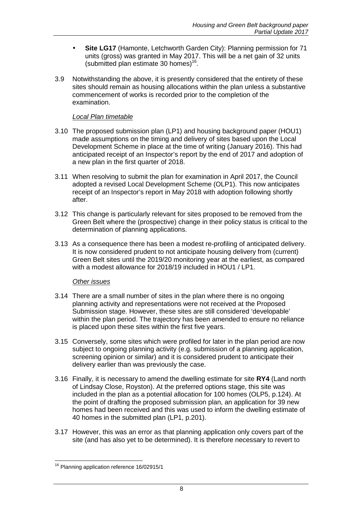- **Site LG17** (Hamonte, Letchworth Garden City): Planning permission for 71 units (gross) was granted in May 2017. This will be a net gain of 32 units (submitted plan estimate 30 homes) $16$ .
- 3.9 Notwithstanding the above, it is presently considered that the entirety of these sites should remain as housing allocations within the plan unless a substantive commencement of works is recorded prior to the completion of the examination.

#### Local Plan timetable

- 3.10 The proposed submission plan (LP1) and housing background paper (HOU1) made assumptions on the timing and delivery of sites based upon the Local Development Scheme in place at the time of writing (January 2016). This had anticipated receipt of an Inspector's report by the end of 2017 and adoption of a new plan in the first quarter of 2018.
- 3.11 When resolving to submit the plan for examination in April 2017, the Council adopted a revised Local Development Scheme (OLP1). This now anticipates receipt of an Inspector's report in May 2018 with adoption following shortly after.
- 3.12 This change is particularly relevant for sites proposed to be removed from the Green Belt where the (prospective) change in their policy status is critical to the determination of planning applications.
- 3.13 As a consequence there has been a modest re-profiling of anticipated delivery. It is now considered prudent to not anticipate housing delivery from (current) Green Belt sites until the 2019/20 monitoring year at the earliest, as compared with a modest allowance for 2018/19 included in HOU1 / LP1.

#### Other issues

- 3.14 There are a small number of sites in the plan where there is no ongoing planning activity and representations were not received at the Proposed Submission stage. However, these sites are still considered 'developable' within the plan period. The trajectory has been amended to ensure no reliance is placed upon these sites within the first five years.
- 3.15 Conversely, some sites which were profiled for later in the plan period are now subject to ongoing planning activity (e.g. submission of a planning application, screening opinion or similar) and it is considered prudent to anticipate their delivery earlier than was previously the case.
- 3.16 Finally, it is necessary to amend the dwelling estimate for site **RY4** (Land north of Lindsay Close, Royston). At the preferred options stage, this site was included in the plan as a potential allocation for 100 homes (OLP5, p.124). At the point of drafting the proposed submission plan, an application for 39 new homes had been received and this was used to inform the dwelling estimate of 40 homes in the submitted plan (LP1, p.201).
- 3.17 However, this was an error as that planning application only covers part of the site (and has also yet to be determined). It is therefore necessary to revert to

 $\overline{a}$ <sup>16</sup> Planning application reference 16/02915/1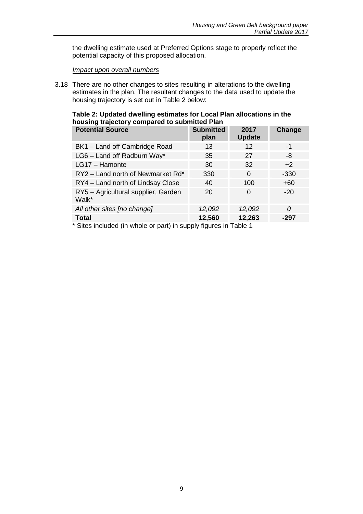the dwelling estimate used at Preferred Options stage to properly reflect the potential capacity of this proposed allocation.

#### Impact upon overall numbers

3.18 There are no other changes to sites resulting in alterations to the dwelling estimates in the plan. The resultant changes to the data used to update the housing trajectory is set out in Table 2 below:

#### **Table 2: Updated dwelling estimates for Local Plan allocations in the housing trajectory compared to submitted Plan**

| <b>Potential Source</b>                      | <b>Submitted</b><br>plan | 2017<br><b>Update</b> | Change   |
|----------------------------------------------|--------------------------|-----------------------|----------|
| BK1 - Land off Cambridge Road                | 13                       | 12                    | -1       |
| LG6 - Land off Radburn Way*                  | 35                       | 27                    | -8       |
| LG17 - Hamonte                               | 30                       | 32                    | $+2$     |
| RY2 - Land north of Newmarket Rd*            | 330                      | $\Omega$              | $-330$   |
| RY4 - Land north of Lindsay Close            | 40                       | 100                   | $+60$    |
| RY5 - Agricultural supplier, Garden<br>Walk* | 20                       | 0                     | $-20$    |
| All other sites [no change]                  | 12,092                   | 12,092                | $\Omega$ |
| <b>Total</b>                                 | 12,560                   | 12,263                | $-297$   |

\* Sites included (in whole or part) in supply figures in Table 1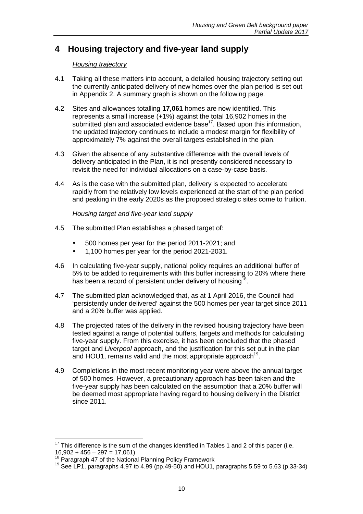# **4 Housing trajectory and five-year land supply**

#### Housing trajectory

- 4.1 Taking all these matters into account, a detailed housing trajectory setting out the currently anticipated delivery of new homes over the plan period is set out in Appendix 2. A summary graph is shown on the following page.
- 4.2 Sites and allowances totalling **17,061** homes are now identified. This represents a small increase (+1%) against the total 16,902 homes in the submitted plan and associated evidence base $17$ . Based upon this information, the updated trajectory continues to include a modest margin for flexibility of approximately 7% against the overall targets established in the plan.
- 4.3 Given the absence of any substantive difference with the overall levels of delivery anticipated in the Plan, it is not presently considered necessary to revisit the need for individual allocations on a case-by-case basis.
- 4.4 As is the case with the submitted plan, delivery is expected to accelerate rapidly from the relatively low levels experienced at the start of the plan period and peaking in the early 2020s as the proposed strategic sites come to fruition.

#### Housing target and five-year land supply

- 4.5 The submitted Plan establishes a phased target of:
	- 500 homes per year for the period 2011-2021; and
	- 1,100 homes per year for the period 2021-2031.
- 4.6 In calculating five-year supply, national policy requires an additional buffer of 5% to be added to requirements with this buffer increasing to 20% where there has been a record of persistent under delivery of housing<sup>18</sup>.
- 4.7 The submitted plan acknowledged that, as at 1 April 2016, the Council had 'persistently under delivered' against the 500 homes per year target since 2011 and a 20% buffer was applied.
- 4.8 The projected rates of the delivery in the revised housing trajectory have been tested against a range of potential buffers, targets and methods for calculating five-year supply. From this exercise, it has been concluded that the phased target and Liverpool approach, and the justification for this set out in the plan and HOU1, remains valid and the most appropriate approach<sup>19</sup>.
- 4.9 Completions in the most recent monitoring year were above the annual target of 500 homes. However, a precautionary approach has been taken and the five-year supply has been calculated on the assumption that a 20% buffer will be deemed most appropriate having regard to housing delivery in the District since 2011.

 $\overline{\phantom{a}}$ 

 $17$  This difference is the sum of the changes identified in Tables 1 and 2 of this paper (i.e.  $16,902 + 456 - 297 = 17,061$ 

<sup>&</sup>lt;sup>18</sup> Paragraph 47 of the National Planning Policy Framework

<sup>&</sup>lt;sup>19</sup> See LP1, paragraphs 4.97 to 4.99 (pp. 49-50) and HOU1, paragraphs 5.59 to 5.63 (p. 33-34)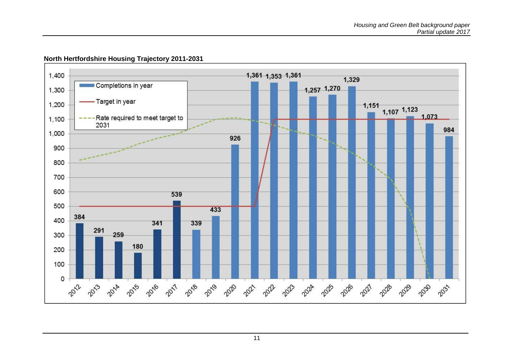

#### **North Hertfordshire Housing Trajectory 2011-2031**

11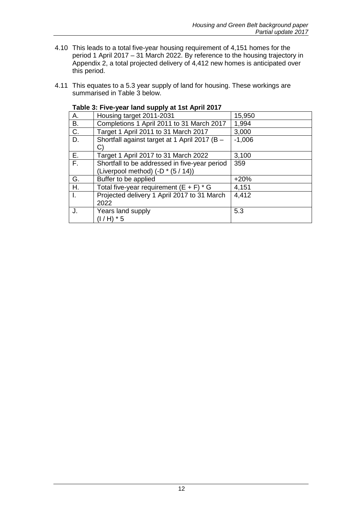- 4.10 This leads to a total five-year housing requirement of 4,151 homes for the period 1 April 2017 – 31 March 2022. By reference to the housing trajectory in Appendix 2, a total projected delivery of 4,412 new homes is anticipated over this period.
- 4.11 This equates to a 5.3 year supply of land for housing. These workings are summarised in Table 3 below.

|             | Table 3: Five-year land supply at 1st April 2017                                    |          |
|-------------|-------------------------------------------------------------------------------------|----------|
| Α.          | Housing target 2011-2031                                                            | 15,950   |
| В.          | Completions 1 April 2011 to 31 March 2017                                           | 1,994    |
| C.          | Target 1 April 2011 to 31 March 2017                                                | 3,000    |
| D.          | Shortfall against target at 1 April 2017 (B -<br>C)                                 | $-1,006$ |
| Ε.          | Target 1 April 2017 to 31 March 2022                                                | 3,100    |
| $F_{\rm H}$ | Shortfall to be addressed in five-year period<br>(Liverpool method) (-D * (5 / 14)) | 359      |
| G.          | Buffer to be applied                                                                | $+20%$   |
| Η.          | Total five-year requirement $(E + F) * G$                                           | 4,151    |
|             | Projected delivery 1 April 2017 to 31 March<br>2022                                 | 4,412    |
| J.          | Years land supply<br>$(I/H) * 5$                                                    | 5.3      |

## **Table 3: Five-year land supply at 1st April 2017**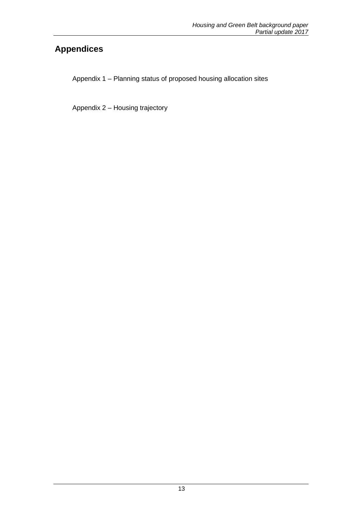# **Appendices**

Appendix 1 – Planning status of proposed housing allocation sites

Appendix 2 – Housing trajectory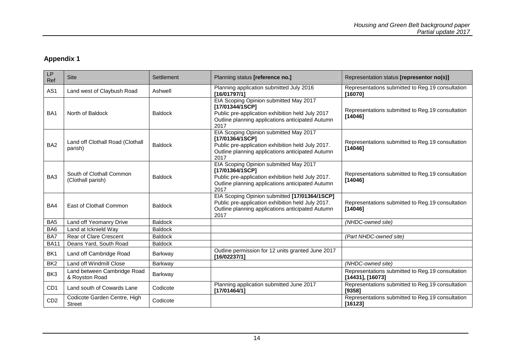#### **Appendix 1**

| LP<br>Ref       | <b>Site</b>                                   | Settlement     | Planning status [reference no.]                                                                                                                                            | Representation status [representor no(s)]                               |
|-----------------|-----------------------------------------------|----------------|----------------------------------------------------------------------------------------------------------------------------------------------------------------------------|-------------------------------------------------------------------------|
| AS <sub>1</sub> | Land west of Claybush Road                    | Ashwell        | Planning application submitted July 2016<br>[16/01797/1]                                                                                                                   | Representations submitted to Reg.19 consultation<br>[16070]             |
| BA <sub>1</sub> | North of Baldock                              | <b>Baldock</b> | EIA Scoping Opinion submitted May 2017<br>[17/01344/1SCP]<br>Public pre-application exhibition held July 2017<br>Outline planning applications anticipated Autumn<br>2017  | Representations submitted to Reg.19 consultation<br>[14046]             |
| BA <sub>2</sub> | Land off Clothall Road (Clothall<br>parish)   | <b>Baldock</b> | EIA Scoping Opinion submitted May 2017<br>[17/01364/1SCP]<br>Public pre-application exhibition held July 2017.<br>Outline planning applications anticipated Autumn<br>2017 | Representations submitted to Reg. 19 consultation<br>[14046]            |
| BA3             | South of Clothall Common<br>(Clothall parish) | <b>Baldock</b> | EIA Scoping Opinion submitted May 2017<br>[17/01364/1SCP]<br>Public pre-application exhibition held July 2017.<br>Outline planning applications anticipated Autumn<br>2017 | Representations submitted to Reg.19 consultation<br>[14046]             |
| BA4             | East of Clothall Common                       | <b>Baldock</b> | EIA Scoping Opinion submitted [17/01364/1SCP]<br>Public pre-application exhibition held July 2017.<br>Outline planning applications anticipated Autumn<br>2017             | Representations submitted to Reg.19 consultation<br>[14046]             |
| BA <sub>5</sub> | Land off Yeomanry Drive                       | <b>Baldock</b> |                                                                                                                                                                            | (NHDC-owned site)                                                       |
| BA <sub>6</sub> | Land at Icknield Way                          | <b>Baldock</b> |                                                                                                                                                                            |                                                                         |
| BA7             | Rear of Clare Crescent                        | <b>Baldock</b> |                                                                                                                                                                            | (Part NHDC-owned site)                                                  |
| <b>BA11</b>     | Deans Yard, South Road                        | <b>Baldock</b> |                                                                                                                                                                            |                                                                         |
| BK <sub>1</sub> | Land off Cambridge Road                       | Barkway        | Outline permission for 12 units granted June 2017<br>[16/02237/1]                                                                                                          |                                                                         |
| BK <sub>2</sub> | Land off Windmill Close                       | Barkway        |                                                                                                                                                                            | (NHDC-owned site)                                                       |
| BK3             | Land between Cambridge Road<br>& Royston Road | Barkway        |                                                                                                                                                                            | Representations submitted to Reg.19 consultation<br>$[14431]$ , [16073] |
| CD <sub>1</sub> | Land south of Cowards Lane                    | Codicote       | Planning application submitted June 2017<br>[17/01464/1]                                                                                                                   | Representations submitted to Reg.19 consultation<br>[9358]              |
| CD <sub>2</sub> | Codicote Garden Centre, High<br><b>Street</b> | Codicote       |                                                                                                                                                                            | Representations submitted to Reg.19 consultation<br>[16123]             |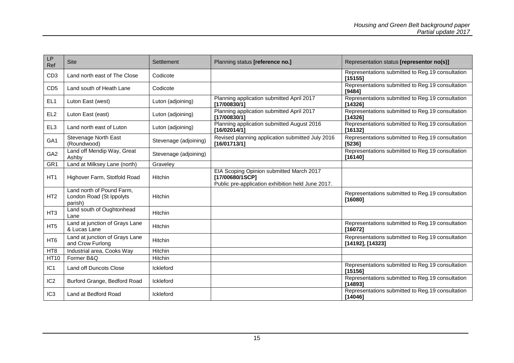| <b>LP</b><br>Ref | <b>Site</b>                                                      | Settlement            | Planning status [reference no.]                                                                                  | Representation status [representor no(s)]                            |
|------------------|------------------------------------------------------------------|-----------------------|------------------------------------------------------------------------------------------------------------------|----------------------------------------------------------------------|
| CD <sub>3</sub>  | Land north east of The Close                                     | Codicote              |                                                                                                                  | Representations submitted to Reg.19 consultation<br>[15155]          |
| CD <sub>5</sub>  | Land south of Heath Lane                                         | Codicote              |                                                                                                                  | Representations submitted to Reg.19 consultation<br>[9484]           |
| EL <sub>1</sub>  | Luton East (west)                                                | Luton (adjoining)     | Planning application submitted April 2017<br>[17/00830/1]                                                        | Representations submitted to Reg.19 consultation<br>[14326]          |
| EL <sub>2</sub>  | Luton East (east)                                                | Luton (adjoining)     | Planning application submitted April 2017<br>[17/00830/1]                                                        | Representations submitted to Reg.19 consultation<br>[14326]          |
| EL <sub>3</sub>  | Land north east of Luton                                         | Luton (adjoining)     | Planning application submitted August 2016<br>[16/02014/1]                                                       | Representations submitted to Reg.19 consultation<br>[16132]          |
| GA <sub>1</sub>  | <b>Stevenage North East</b><br>(Roundwood)                       | Stevenage (adjoining) | Revised planning application submitted July 2016<br>[16/01713/1]                                                 | Representations submitted to Reg.19 consultation<br>[5236]           |
| GA <sub>2</sub>  | Land off Mendip Way, Great<br>Ashby                              | Stevenage (adjoining) |                                                                                                                  | Representations submitted to Reg.19 consultation<br>[16140]          |
| GR <sub>1</sub>  | Land at Milksey Lane (north)                                     | Graveley              |                                                                                                                  |                                                                      |
| HT <sub>1</sub>  | Highover Farm, Stotfold Road                                     | Hitchin               | EIA Scoping Opinion submitted March 2017<br>[17/00680/1SCP]<br>Public pre-application exhibition held June 2017. |                                                                      |
| HT <sub>2</sub>  | Land north of Pound Farm,<br>London Road (St Ippolyts<br>parish) | Hitchin               |                                                                                                                  | Representations submitted to Reg.19 consultation<br>[16080]          |
| HT <sub>3</sub>  | Land south of Oughtonhead<br>Lane                                | Hitchin               |                                                                                                                  |                                                                      |
| HT <sub>5</sub>  | Land at junction of Grays Lane<br>& Lucas Lane                   | Hitchin               |                                                                                                                  | Representations submitted to Reg.19 consultation<br>[16072]          |
| HT <sub>6</sub>  | Land at junction of Grays Lane<br>and Crow Furlong               | Hitchin               |                                                                                                                  | Representations submitted to Reg.19 consultation<br>[14192], [14323] |
| HT <sub>8</sub>  | Industrial area, Cooks Way                                       | Hitchin               |                                                                                                                  |                                                                      |
| <b>HT10</b>      | Former B&Q                                                       | Hitchin               |                                                                                                                  |                                                                      |
| IC <sub>1</sub>  | Land off Duncots Close                                           | Ickleford             |                                                                                                                  | Representations submitted to Reg.19 consultation<br>[15156]          |
| IC <sub>2</sub>  | Burford Grange, Bedford Road                                     | Ickleford             |                                                                                                                  | Representations submitted to Reg.19 consultation<br>[14893]          |
| IC <sub>3</sub>  | Land at Bedford Road                                             | Ickleford             |                                                                                                                  | Representations submitted to Reg. 19 consultation<br>[14046]         |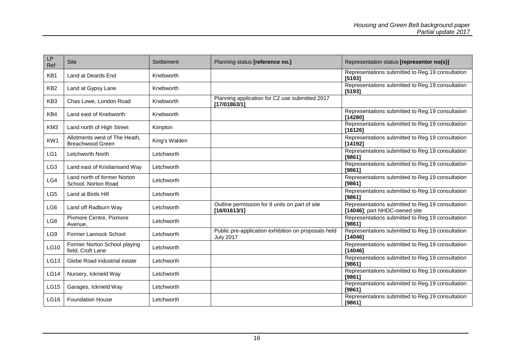| LP<br>Ref       | <b>Site</b>                                              | Settlement    | Planning status [reference no.]                                         | Representation status [representor no(s)]                                         |
|-----------------|----------------------------------------------------------|---------------|-------------------------------------------------------------------------|-----------------------------------------------------------------------------------|
| KB1             | Land at Deards End                                       | Knebworth     |                                                                         | Representations submitted to Reg.19 consultation<br>[5193]                        |
| KB <sub>2</sub> | Land at Gypsy Lane                                       | Knebworth     |                                                                         | Representations submitted to Reg.19 consultation<br>[5193]                        |
| KB <sub>3</sub> | Chas Lowe, London Road                                   | Knebworth     | Planning application for C2 use submitted 2017<br>[17/01863/1]          |                                                                                   |
| KB4             | Land east of Knebworth                                   | Knebworth     |                                                                         | Representations submitted to Reg.19 consultation<br>[14280]                       |
| KM <sub>3</sub> | Land north of High Street                                | Kimpton       |                                                                         | Representations submitted to Reg.19 consultation<br>[16126]                       |
| KW1             | Allotments west of The Heath,<br><b>Breachwood Green</b> | King's Walden |                                                                         | Representations submitted to Reg.19 consultation<br>[14192]                       |
| LG1             | Letchworth North                                         | Letchworth    |                                                                         | Representations submitted to Reg.19 consultation<br>[9861]                        |
| LG <sub>3</sub> | Land east of Kristiansand Way                            | Letchworth    |                                                                         | Representations submitted to Reg.19 consultation<br>[9861]                        |
| LG4             | Land north of former Norton<br>School, Norton Road       | Letchworth    |                                                                         | Representations submitted to Reg.19 consultation<br>[9861]                        |
| LG5             | Land at Birds Hill                                       | Letchworth    |                                                                         | Representations submitted to Reg.19 consultation<br>[9861]                        |
| LG6             | Land off Radburn Way                                     | Letchworth    | Outline permission for 8 units on part of site<br>[16/01613/1]          | Representations submitted to Reg.19 consultation<br>[14046]; part NHDC-owned site |
| LG8             | Pixmore Centre, Pixmore<br>Avenue,                       | Letchworth    |                                                                         | Representations submitted to Reg.19 consultation<br>[9861]                        |
| LG9             | Former Lannock School                                    | Letchworth    | Public pre-application exhibition on proposals held<br><b>July 2017</b> | Representations submitted to Reg.19 consultation<br>[14046]                       |
| LG10            | Former Norton School playing<br>field, Croft Lane        | Letchworth    |                                                                         | Representations submitted to Reg.19 consultation<br>[14046]                       |
| LG13            | Glebe Road industrial estate                             | Letchworth    |                                                                         | Representations submitted to Reg.19 consultation<br>[9861]                        |
| <b>LG14</b>     | Nursery, Icknield Way                                    | Letchworth    |                                                                         | Representations submitted to Reg.19 consultation<br>[9861]                        |
| <b>LG15</b>     | Garages, Icknield Way                                    | Letchworth    |                                                                         | Representations submitted to Reg.19 consultation<br>[9861]                        |
| LG16            | <b>Foundation House</b>                                  | Letchworth    |                                                                         | Representations submitted to Reg.19 consultation<br>[9861]                        |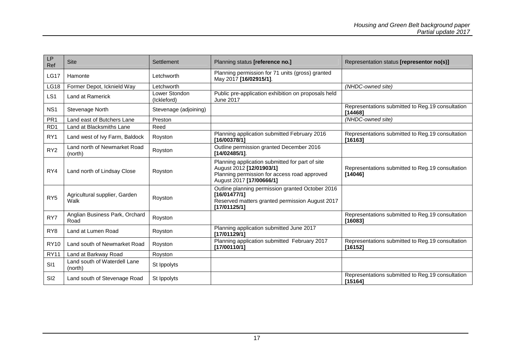| <b>LP</b><br>Ref | <b>Site</b>                             | Settlement                   | Planning status [reference no.]                                                                                                                         | Representation status [representor no(s)]                    |
|------------------|-----------------------------------------|------------------------------|---------------------------------------------------------------------------------------------------------------------------------------------------------|--------------------------------------------------------------|
| <b>LG17</b>      | Hamonte                                 | Letchworth                   | Planning permission for 71 units (gross) granted<br>May 2017 [16/02915/1].                                                                              |                                                              |
| <b>LG18</b>      | Former Depot, Icknield Way              | Letchworth                   |                                                                                                                                                         | (NHDC-owned site)                                            |
| LS <sub>1</sub>  | Land at Ramerick                        | Lower Stondon<br>(Ickleford) | Public pre-application exhibition on proposals held<br><b>June 2017</b>                                                                                 |                                                              |
| NS <sub>1</sub>  | Stevenage North                         | Stevenage (adjoining)        |                                                                                                                                                         | Representations submitted to Reg.19 consultation<br>[14468]  |
| PR <sub>1</sub>  | Land east of Butchers Lane              | Preston                      |                                                                                                                                                         | (NHDC-owned site)                                            |
| RD <sub>1</sub>  | Land at Blacksmiths Lane                | Reed                         |                                                                                                                                                         |                                                              |
| RY1              | Land west of Ivy Farm, Baldock          | Royston                      | Planning application submitted February 2016<br>[16/00378/1]                                                                                            | Representations submitted to Reg.19 consultation<br>[16163]  |
| RY <sub>2</sub>  | Land north of Newmarket Road<br>(north) | Royston                      | Outline permission granted December 2016<br>[14/02485/1].                                                                                               |                                                              |
| RY4              | Land north of Lindsay Close             | Royston                      | Planning application submitted for part of site<br>August 2012 [12/01903/1]<br>Planning permission for access road approved<br>August 2017 [17/00666/1] | Representations submitted to Reg.19 consultation<br>[14046]  |
| RY <sub>5</sub>  | Agricultural supplier, Garden<br>Walk   | Royston                      | Outline planning permission granted October 2016<br>[16/01477/1]<br>Reserved matters granted permission August 2017<br>[17/01125/1]                     |                                                              |
| RY7              | Anglian Business Park, Orchard<br>Road  | Royston                      |                                                                                                                                                         | Representations submitted to Reg.19 consultation<br>[16083]  |
| RY <sub>8</sub>  | Land at Lumen Road                      | Royston                      | Planning application submitted June 2017<br>[17/01129/1]                                                                                                |                                                              |
| <b>RY10</b>      | Land south of Newmarket Road            | Royston                      | Planning application submitted February 2017<br>[17/00110/1]                                                                                            | Representations submitted to Reg.19 consultation<br>[16152]  |
| <b>RY11</b>      | Land at Barkway Road                    | Royston                      |                                                                                                                                                         |                                                              |
| SI1              | Land south of Waterdell Lane<br>(north) | St Ippolyts                  |                                                                                                                                                         |                                                              |
| SI <sub>2</sub>  | Land south of Stevenage Road            | St Ippolyts                  |                                                                                                                                                         | Representations submitted to Reg. 19 consultation<br>[15164] |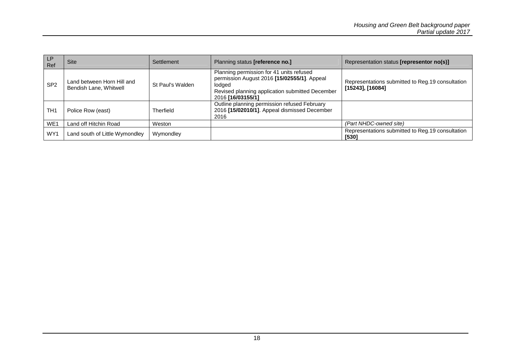| <b>LP</b><br>Ref | <b>Site</b>                                          | Settlement       | Planning status [reference no.]                                                                                                                                           | Representation status [representor no(s)]                                |
|------------------|------------------------------------------------------|------------------|---------------------------------------------------------------------------------------------------------------------------------------------------------------------------|--------------------------------------------------------------------------|
| SP <sub>2</sub>  | Land between Horn Hill and<br>Bendish Lane, Whitwell | St Paul's Walden | Planning permission for 41 units refused<br>permission August 2016 [15/02555/1]. Appeal<br>lodaed<br>Revised planning application submitted December<br>2016 [16/03155/1] | Representations submitted to Reg. 19 consultation<br>$[15243]$ , [16084] |
| TH <sub>1</sub>  | Police Row (east)                                    | Therfield        | Outline planning permission refused February<br>2016 [15/02010/1]. Appeal dismissed December<br>2016                                                                      |                                                                          |
| WE1              | Land off Hitchin Road                                | Weston           |                                                                                                                                                                           | (Part NHDC-owned site)                                                   |
| WY1              | Land south of Little Wymondley                       | Wymondley        |                                                                                                                                                                           | Representations submitted to Reg. 19 consultation<br>[530]               |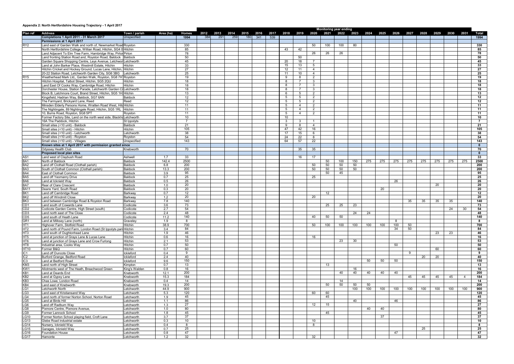#### **Appendix 2: North Hertfordshire Housing Trajectory - 1 April 2017**

|                                    |                                                                                                                                    |                                     |             |                      |             |             |             |                  |                    |                      |                |                                  | <b>Monitoring year ending</b> |           |                     |     |     |     |     |           |      |      |                |                     |
|------------------------------------|------------------------------------------------------------------------------------------------------------------------------------|-------------------------------------|-------------|----------------------|-------------|-------------|-------------|------------------|--------------------|----------------------|----------------|----------------------------------|-------------------------------|-----------|---------------------|-----|-----|-----|-----|-----------|------|------|----------------|---------------------|
| Plan ref                           | <b>Address</b><br>Completions 1 April 2011 - 31 March 2017                                                                         | Town / parish<br><b>Unspecified</b> | Area (ha)   | <b>Homes</b><br>1994 | 2012<br>384 | 2013<br>291 | 2014<br>259 | 2015 2016<br>180 | 2017<br>341<br>539 |                      |                | 2018 2019 2020                   |                               | 2021 2022 | 2023 2024 2025 2026 |     |     |     |     | 2027 2028 | 2029 | 2030 | 2031           | Total<br>1994       |
|                                    | Permissions at 1 April 2017                                                                                                        |                                     |             |                      |             |             |             |                  |                    |                      |                |                                  |                               |           |                     |     |     |     |     |           |      |      |                |                     |
| RY <sub>2</sub>                    | Land east of Garden Walk and north of, Newmarket Road Royston                                                                      |                                     |             | 330                  |             |             |             |                  |                    |                      |                | 50                               | 100                           | 100       | 80                  |     |     |     |     |           |      |      |                | 330                 |
|                                    | North Hertfordshire College, Willian Road, Hitchin, SG4 0 Hitchin                                                                  |                                     |             | 85                   |             |             |             |                  |                    | 43                   | 42             |                                  |                               |           |                     |     |     |     |     |           |      |      |                | 85                  |
|                                    | Land Adjacent To Elm Tree Farm, Hambridge Way, Pirtor Pirton                                                                       |                                     |             | 78                   |             |             |             |                  |                    |                      |                | 26                               | 26                            | 26        |                     |     |     |     |     |           |      |      |                | 78                  |
|                                    | Land fronting Station Road and, Royston Road, Baldock   Baldock<br>Garden Square Shopping Centre, Leys Avenue, LetchworlLetchworth |                                     |             | 50<br>45             |             |             |             |                  |                    | 20                   | 50<br>18       | $\overline{7}$                   |                               |           |                     |     |     |     |     |           |      |      |                | 50<br>45            |
|                                    | Land at John Barker Place, Westmill Estate, Hitchin                                                                                | <b>Hitchin</b>                      |             | 33                   |             |             |             |                  |                    | 15                   | 13             | 5                                |                               |           |                     |     |     |     |     |           |      |      |                | 33                  |
|                                    | Hitchin Cricket and Hockey Ground, Lucas Lane, Hitchin, Hitchin                                                                    |                                     |             | 27                   |             |             |             |                  |                    | 12                   | 11             | $\overline{4}$                   |                               |           |                     |     |     |     |     |           |      |      |                | 27                  |
|                                    | 20-22 Station Road, Letchworth Garden City, SG6 3BG                                                                                | Letchworth                          |             | 25                   |             |             |             |                  |                    | 11                   | 10             | $\overline{4}$                   |                               |           |                     |     |     |     |     |           |      |      |                | 25                  |
| RY <sub>5</sub>                    | Weatherhead Mark Ltd., Garden Walk, Royston, SG8 7H Royston                                                                        |                                     |             | 19                   |             |             |             |                  |                    | 9                    | 8              | $\overline{2}$                   |                               |           |                     |     |     |     |     |           |      |      |                | 19                  |
|                                    | Hitchin Hospital, Talbot Street, Hitchin, SG5 2QU                                                                                  | Hitchin                             |             | 18                   |             |             |             |                  |                    | 8                    | - 7            | 3 <sup>3</sup>                   |                               |           |                     |     |     |     |     |           |      |      |                | 18                  |
|                                    | Land East Of Cooks Way, Cambridge Road, Hitchin<br>Dorchester House, Station Parade, Letchworth Garden CilLetchworth               | Hitchin                             |             | 18<br>18             |             |             |             |                  |                    | 8<br>8               | 7              | 3 <sup>3</sup><br>3 <sup>3</sup> |                               |           |                     |     |     |     |     |           |      |      |                | 18<br>18            |
|                                    | Block B, Latchmore Court, Brand Street, Hitchin, SG5 1H1 Hitchin                                                                   |                                     |             | 13                   |             |             |             |                  |                    | 6                    | 5              | $\overline{2}$                   |                               |           |                     |     |     |     |     |           |      |      |                | 13                  |
|                                    | Kingsfield, Hadrian Way, Baldock, SG7 6AN                                                                                          | Baldock                             |             | 12                   |             |             |             |                  |                    | -5                   | -5             | $\overline{2}$                   |                               |           |                     |     |     |     |     |           |      |      |                | 12                  |
|                                    | The Farmyard, Brickyard Lane, Reed                                                                                                 | Reed                                |             | 12                   |             |             |             |                  |                    | -5                   | 5              | $\overline{2}$                   |                               |           |                     |     |     |     |     |           |      |      |                | 12                  |
|                                    | Minsden Elderly Persons Home, Wratten Road West, Hitd Hitchin                                                                      |                                     |             | 11                   |             |             |             |                  |                    | -5                   | 4              | 2                                |                               |           |                     |     |     |     |     |           |      |      |                | 11                  |
|                                    | The Nightingale, 89 Nightingale Road, Hitchin, SG5 1RL Hitchin                                                                     |                                     |             | 11                   |             |             |             |                  |                    | 5                    | $\overline{4}$ | $\overline{2}$                   |                               |           |                     |     |     |     |     |           |      |      |                | 11                  |
|                                    | 10, Burns Road, Royston, SG8 5PT<br>Former Factory Site, Land on the north west side, BlackhoLetchworth                            | Royston                             |             | 11<br>10             |             |             |             |                  |                    | 5<br>10 <sup>°</sup> | $\overline{4}$ | 2                                |                               |           |                     |     |     |     |     |           |      |      |                | 11<br>10            |
|                                    | 16A The Paddock, Hitchin                                                                                                           | St Ippolyts                         |             | -7                   |             |             |             |                  |                    | $\mathbf{3}$         | -3             | 1                                |                               |           |                     |     |     |     |     |           |      |      |                | -7                  |
|                                    | Small sites (<10 unit) - Baldock                                                                                                   | Baldock                             |             | 21                   |             |             |             |                  |                    | -9                   | 8              | $\overline{4}$                   |                               |           |                     |     |     |     |     |           |      |      |                | 21                  |
|                                    | Small sites (<10 unit) - Hitchin                                                                                                   | Hitchin                             |             | 105                  |             |             |             |                  |                    | 47                   | 42             | 16                               |                               |           |                     |     |     |     |     |           |      |      |                | 105                 |
|                                    | Small sites (<10 unit) - Letchworth                                                                                                | Letchworth                          |             | 38                   |             |             |             |                  |                    | 17                   | 15             | 6                                |                               |           |                     |     |     |     |     |           |      |      |                | 38                  |
|                                    | Small sites (<10 unit) - Royston                                                                                                   | Royston                             |             | 54                   |             |             |             |                  |                    | 24                   | 22             | 8                                |                               |           |                     |     |     |     |     |           |      |      |                | 54                  |
|                                    | Small sites (<10 unit) - Villages<br>Known sites at 1 April 2017 with permission granted since                                     | Unspecified                         |             | 143                  |             |             |             |                  |                    | 64                   | 57             | 22                               |                               |           |                     |     |     |     |     |           |      |      |                | 143<br>$\mathbf{0}$ |
|                                    | Odyssey Health Club                                                                                                                | Knebworth                           |             | 70                   |             |             |             |                  |                    |                      | 35             | 35                               |                               |           |                     |     |     |     |     |           |      |      |                | 70                  |
|                                    | Proposed local plan sites                                                                                                          |                                     |             |                      |             |             |             |                  |                    |                      |                |                                  |                               |           |                     |     |     |     |     |           |      |      |                | $\mathbf{0}$        |
| AS <sub>1</sub>                    | Land west of Claybush Road                                                                                                         | Ashwell                             | 1.7         | 33                   |             |             |             |                  |                    |                      | 16             | 17                               |                               |           |                     |     |     |     |     |           |      |      |                | 33                  |
| BA <sub>1</sub>                    | North of Baldock                                                                                                                   | Baldock                             | 142.4       | 2500                 |             |             |             |                  |                    |                      |                |                                  | 50                            | 100       | 150                 | 275 | 275 | 275 | 275 | 275       | 275  | 275  | 275            | 2500                |
| BA <sub>2</sub>                    | Land off Clothall Road (Clothall parish)                                                                                           | <b>Baldock</b>                      | 6.8         | 200                  |             |             |             |                  |                    |                      |                | 50                               | 50                            | 50        | 50                  |     |     |     |     |           |      |      |                | 200                 |
| BA <sub>3</sub><br>BA4             | South of Clothall Common (Clothall parish)<br>East of Clothall Common                                                              | <b>Baldock</b><br><b>Baldock</b>    | 13.3<br>3.9 | 200<br>95            |             |             |             |                  |                    |                      |                | 50                               | 50<br>50                      | 50<br>45  | 50                  |     |     |     |     |           |      |      |                | 200<br>95           |
| BA <sub>5</sub>                    | Land off Yeomanry Drive                                                                                                            | <b>Baldock</b>                      | 0.7         | 25                   |             |             |             |                  |                    |                      |                | 25                               |                               |           |                     |     |     |     |     |           |      |      |                | 25                  |
| BA <sub>6</sub>                    | Land at Icknield Wav                                                                                                               | Baldock                             | 0.5         | 26                   |             |             |             |                  |                    |                      |                |                                  |                               |           |                     |     |     | 26  |     |           |      |      |                | 26                  |
| BA7                                | Rear of Clare Crescent                                                                                                             | Baldock                             | 1.0         | 20                   |             |             |             |                  |                    |                      |                |                                  |                               |           |                     |     |     |     |     |           | -20  |      |                | 20                  |
| <b>BA11</b>                        | Deans Yard, South Road                                                                                                             | <b>Baldock</b>                      | 0.3         | 20                   |             |             |             |                  |                    |                      |                |                                  |                               |           |                     |     | 20  |     |     |           |      |      |                | 20                  |
| BK <sub>1</sub><br>BK <sub>2</sub> | Land off Cambridge Roac                                                                                                            | Barkway                             | 0.7<br>1.2  | 12<br>20             |             |             |             |                  |                    |                      |                | 20                               | 12 <sup>2</sup>               |           |                     |     |     |     |     |           |      |      |                | 12<br>20            |
| BK <sub>3</sub>                    | Land off Windmill Close<br>Land between Cambridge Road & Royston Road                                                              | Barkway<br>Barkway                  | 7.8         | 140                  |             |             |             |                  |                    |                      |                |                                  |                               |           |                     |     |     |     | 35  | 35        | 35   | 35   |                | 140                 |
| CD1                                | Land south of Cowards Lane                                                                                                         | Codicote                            | 3.6         | 73                   |             |             |             |                  |                    |                      |                |                                  | 25                            | 25        | 23                  |     |     |     |     |           |      |      |                | 73                  |
| CD <sub>2</sub>                    | Codicote Garden Centre, High Street (south)                                                                                        | Codicote                            | 2.7         | 54                   |             |             |             |                  |                    |                      |                |                                  |                               |           |                     |     |     |     |     |           |      | 24   | 30             | 54                  |
| CD <sub>3</sub>                    | Land north east of The Close                                                                                                       | Codicote                            | 2.4         | 48                   |             |             |             |                  |                    |                      |                |                                  |                               |           | 24                  | 24  |     |     |     |           |      |      |                | 48                  |
| CD5                                | Land south of Heath Lane                                                                                                           | Codicote                            | 11.2        | 140                  |             |             |             |                  |                    |                      |                | 40                               | 50                            | 50        |                     |     |     |     |     |           |      |      |                | 140                 |
| GR <sub>1</sub><br>HT <sub>1</sub> | Land at Milksey Lane (north)<br>Highover Farm, Stotfold Road                                                                       | Graveley<br><b>Hitchin</b>          | 1.9<br>38.9 | 8<br>700             |             |             |             |                  |                    |                      |                | 50                               | 100                           | 100       | 100                 | 100 | 100 | 100 | 50  |           |      |      |                | 8<br>700            |
| HT <sub>2</sub>                    | Land north of Pound Farm, London Road (St Ippolyts pari Hitchin                                                                    |                                     | 3.4         | 84                   |             |             |             |                  |                    |                      |                |                                  |                               |           |                     |     |     | 34  | 50  |           |      |      |                | 84                  |
| HT <sub>3</sub>                    | Land south of Oughtonhead Lane                                                                                                     | Hitchin                             | 1.9         | 46                   |             |             |             |                  |                    |                      |                |                                  |                               |           |                     |     |     |     |     |           | 23   | 23   |                | 46                  |
| HT <sub>5</sub>                    | Land at junction of Grays Lane & Lucas Lane                                                                                        | Hitchin                             | 0.6         | 16                   |             |             |             |                  |                    |                      |                | 16                               |                               |           |                     |     |     |     |     |           |      |      |                | 16                  |
| HT <sub>6</sub>                    | Land at junction of Grays Lane and Crow Furlong                                                                                    | Hitchin                             | 2.1         | 53                   |             |             |             |                  |                    |                      |                |                                  |                               | 23        | 30                  |     |     |     |     |           |      |      |                | 53                  |
| HT <sub>8</sub>                    | Industrial area, Cooks Way                                                                                                         | Hitchin                             | 0.7         | 50                   |             |             |             |                  |                    |                      |                |                                  |                               |           |                     |     |     | 50  |     |           |      |      |                | 50                  |
| <b>HT10</b><br>IC1                 | Former B&Q<br>Land off Duncots Close                                                                                               | Hitchin<br>Ickleford                | 0.7<br>0.4  | 60<br>9              |             |             |             |                  |                    |                      |                |                                  |                               |           |                     |     |     |     | 9   |           | 60   |      |                | 60<br>9             |
| IC <sub>2</sub>                    | Burford Grange, Bedford Road                                                                                                       | Ickleford                           | 2.4         | 40                   |             |             |             |                  |                    |                      |                |                                  |                               |           |                     |     |     |     |     | 20        | 20   |      |                | 40                  |
| IC3                                | Land at Bedford Road                                                                                                               | Ickleford                           | 9.6         | 150                  |             |             |             |                  |                    |                      |                |                                  |                               |           |                     | 50  | 50  | 50  |     |           |      |      |                | 150                 |
| KM <sub>3</sub>                    | Land north of High Street                                                                                                          | Kimpton                             | 0.7         | 13                   |             |             |             |                  |                    |                      |                |                                  | 13                            |           |                     |     |     |     |     |           |      |      |                | 13                  |
| KW1                                | Allotments west of The Heath. Breachwood Green                                                                                     | King's Walden                       | 0.8         | 16                   |             |             |             |                  |                    |                      |                |                                  |                               |           | 16                  |     |     |     |     |           |      |      |                | 16                  |
| KB <sub>1</sub><br>KB <sub>2</sub> | Land at Deards End                                                                                                                 | Knebworth                           | 12.1        | 200                  |             |             |             |                  |                    |                      |                |                                  |                               | 40        | 40                  | 40  | 40  | 40  |     |           |      |      |                | 200                 |
| KB <sub>3</sub>                    | Land at Gypsy Lane<br>Chas Lowe, London Road                                                                                       | Knebworth<br>Knebworth              | 15.3<br>0.4 | 184<br>14            |             |             |             |                  |                    |                      |                |                                  |                               | 14        |                     |     |     |     | 45  | 45        | 45   | 45   | $\overline{4}$ | 184<br>14           |
| KB4                                | Land east of Knebworth                                                                                                             | Knebworth                           | 19.3        | 200                  |             |             |             |                  |                    |                      |                |                                  | 50                            | 50        | 50                  | 50  |     |     |     |           |      |      |                | 200                 |
| LG1                                | Letchworth North                                                                                                                   | Letchworth                          | 44.9        | 900                  |             |             |             |                  |                    |                      |                |                                  |                               |           | 100                 | 100 | 100 | 100 | 100 | 100       | 100  | 100  | 100            | 900                 |
| LG3                                | Land east of Kristiansand Way                                                                                                      | Letchworth                          | 5.3         | 120                  |             |             |             |                  |                    |                      |                | 60                               | 60                            |           |                     |     |     |     |     |           |      |      |                | 120                 |
| LG4                                | Land north of former Norton School, Norton Road                                                                                    | Letchworth                          | 1.9         | 45                   |             |             |             |                  |                    |                      |                |                                  | 45                            |           |                     |     |     |     |     |           |      |      |                | 45                  |
| LG5                                | Land at Birds Hill                                                                                                                 | Letchworth                          | 1.1         | 86<br>27             |             |             |             |                  |                    |                      |                |                                  |                               |           | 40                  |     |     | 46  |     |           |      |      |                | 86                  |
| LG6<br>LG8                         | Land off Radburn Way<br>Pixmore Centre, Pixmore Avenue,                                                                            | Letchworth<br>Letchworth            | 1.3<br>1.0  | 80                   |             |             |             |                  |                    |                      |                | $12 \overline{ }$                | 15                            |           |                     | 40  | 40  |     |     |           |      |      |                | 27<br>80            |
| LG9                                | Former Lannock School                                                                                                              | Letchworth                          | 1.8         | 45                   |             |             |             |                  |                    |                      |                |                                  | 45                            |           |                     |     |     |     |     |           |      |      |                | 45                  |
| LG10                               | Former Norton School playing field, Croft Lane                                                                                     | Letchworth                          | 3.7         | 37                   |             |             |             |                  |                    |                      |                |                                  |                               |           |                     |     | 37  |     |     |           |      |      |                | 37                  |
| <b>LG13</b>                        | Glebe Road industrial estate                                                                                                       | Letchworth                          | 0.3         | 10                   |             |             |             |                  |                    |                      |                | 10                               |                               |           |                     |     |     |     |     |           |      |      |                | 10                  |
| LG14                               | Nursery, Icknield Way                                                                                                              | Letchworth                          | 0.4         | 8                    |             |             |             |                  |                    |                      |                | 8                                |                               |           |                     |     |     |     |     |           |      |      |                | 8                   |
| LG15<br>LG16                       | Garages, Icknield Way<br><b>Foundation House</b>                                                                                   | Letchworth<br>Letchworth            | 0.7<br>0.8  | 25<br>47             |             |             |             |                  |                    |                      |                |                                  |                               |           |                     |     |     | 47  |     | 25        |      |      |                | 25<br>47            |
| <b>LG17</b>                        | Hamonte                                                                                                                            | Letchworth                          | 1.2         | 32                   |             |             |             |                  |                    |                      |                | 32                               |                               |           |                     |     |     |     |     |           |      |      |                | 32                  |
|                                    |                                                                                                                                    |                                     |             |                      |             |             |             |                  |                    |                      |                |                                  |                               |           |                     |     |     |     |     |           |      |      |                |                     |